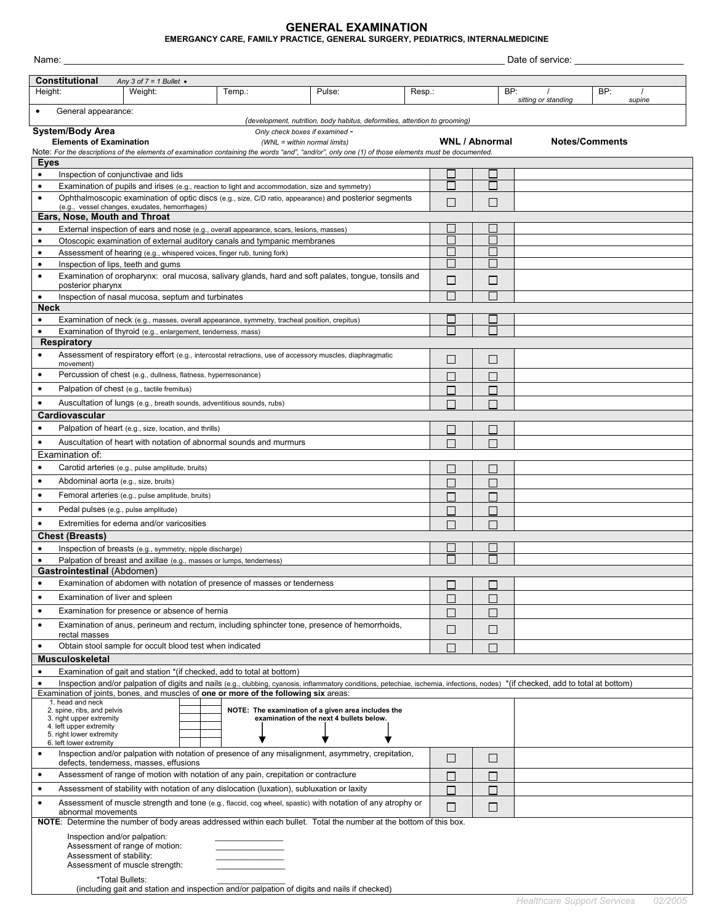## **GENERAL EXAMINATION**

## **EMERGANCY CARE, FAMILY PRACTICE, GENERAL SURGERY, PEDIATRICS, INTERNALMEDICINE**

| Date of service:<br>Name:                                                                               |                                                                                                                                  |                                                                        |  |                                                                                                          |                                                                                                                                                                                   |        |              |                             |                     |                       |        |
|---------------------------------------------------------------------------------------------------------|----------------------------------------------------------------------------------------------------------------------------------|------------------------------------------------------------------------|--|----------------------------------------------------------------------------------------------------------|-----------------------------------------------------------------------------------------------------------------------------------------------------------------------------------|--------|--------------|-----------------------------|---------------------|-----------------------|--------|
| <b>Constitutional</b>                                                                                   |                                                                                                                                  | Any 3 of $7 = 1$ Bullet $\bullet$                                      |  |                                                                                                          |                                                                                                                                                                                   |        |              |                             |                     |                       |        |
| Height:                                                                                                 |                                                                                                                                  | Weight:                                                                |  | Temp.:                                                                                                   | Pulse:                                                                                                                                                                            | Resp.: |              |                             | BP:                 | BP:                   |        |
|                                                                                                         |                                                                                                                                  |                                                                        |  |                                                                                                          |                                                                                                                                                                                   |        |              |                             | sitting or standing |                       | supine |
| $\bullet$                                                                                               | General appearance:                                                                                                              |                                                                        |  |                                                                                                          | (development, nutrition, body habitus, deformities, attention to grooming)                                                                                                        |        |              |                             |                     |                       |        |
|                                                                                                         | <b>System/Body Area</b>                                                                                                          |                                                                        |  | Only check boxes if examined -                                                                           |                                                                                                                                                                                   |        |              |                             |                     |                       |        |
|                                                                                                         | <b>Elements of Examination</b>                                                                                                   |                                                                        |  | (WNL = within normal limits)                                                                             |                                                                                                                                                                                   |        |              | <b>WNL / Abnormal</b>       |                     | <b>Notes/Comments</b> |        |
|                                                                                                         |                                                                                                                                  |                                                                        |  |                                                                                                          | Note: For the descriptions of the elements of examination containing the words "and", "and/or", only one (1) of those elements must be documented.                                |        |              |                             |                     |                       |        |
| Eyes                                                                                                    |                                                                                                                                  |                                                                        |  |                                                                                                          |                                                                                                                                                                                   |        |              |                             |                     |                       |        |
| $\bullet$<br>$\bullet$                                                                                  |                                                                                                                                  | Inspection of conjunctivae and lids                                    |  |                                                                                                          |                                                                                                                                                                                   |        |              |                             |                     |                       |        |
| $\bullet$                                                                                               |                                                                                                                                  |                                                                        |  | Examination of pupils and irises (e.g., reaction to light and accommodation, size and symmetry)          | Ophthalmoscopic examination of optic discs (e.g., size, C/D ratio, appearance) and posterior segments                                                                             |        |              |                             |                     |                       |        |
|                                                                                                         |                                                                                                                                  | (e.g., vessel changes, exudates, hemorrhages)                          |  |                                                                                                          |                                                                                                                                                                                   |        | $\Box$       | П                           |                     |                       |        |
|                                                                                                         | Ears, Nose, Mouth and Throat                                                                                                     |                                                                        |  |                                                                                                          |                                                                                                                                                                                   |        |              |                             |                     |                       |        |
|                                                                                                         | External inspection of ears and nose (e.g., overall appearance, scars, lesions, masses)                                          |                                                                        |  |                                                                                                          |                                                                                                                                                                                   |        |              |                             |                     |                       |        |
| $\bullet$                                                                                               |                                                                                                                                  |                                                                        |  | Otoscopic examination of external auditory canals and tympanic membranes                                 |                                                                                                                                                                                   |        |              |                             |                     |                       |        |
| $\bullet$                                                                                               |                                                                                                                                  |                                                                        |  | Assessment of hearing (e.g., whispered voices, finger rub, tuning fork)                                  |                                                                                                                                                                                   |        |              |                             |                     |                       |        |
| $\bullet$                                                                                               |                                                                                                                                  | Inspection of lips, teeth and gums                                     |  |                                                                                                          |                                                                                                                                                                                   |        |              |                             |                     |                       |        |
|                                                                                                         | posterior pharynx                                                                                                                |                                                                        |  |                                                                                                          | Examination of oropharynx: oral mucosa, salivary glands, hard and soft palates, tongue, tonsils and                                                                               |        | $\Box$       | $\mathcal{L}_{\mathcal{A}}$ |                     |                       |        |
| $\bullet$                                                                                               |                                                                                                                                  | Inspection of nasal mucosa, septum and turbinates                      |  |                                                                                                          |                                                                                                                                                                                   |        |              |                             |                     |                       |        |
| <b>Neck</b>                                                                                             |                                                                                                                                  |                                                                        |  |                                                                                                          |                                                                                                                                                                                   |        |              |                             |                     |                       |        |
| $\bullet$                                                                                               |                                                                                                                                  |                                                                        |  | Examination of neck (e.g., masses, overall appearance, symmetry, tracheal position, crepitus)            |                                                                                                                                                                                   |        |              |                             |                     |                       |        |
| $\bullet$                                                                                               |                                                                                                                                  | Examination of thyroid (e.g., enlargement, tenderness, mass)           |  |                                                                                                          |                                                                                                                                                                                   |        |              |                             |                     |                       |        |
| <b>Respiratory</b>                                                                                      |                                                                                                                                  |                                                                        |  |                                                                                                          |                                                                                                                                                                                   |        |              |                             |                     |                       |        |
|                                                                                                         | movement)                                                                                                                        |                                                                        |  | Assessment of respiratory effort (e.g., intercostal retractions, use of accessory muscles, diaphragmatic |                                                                                                                                                                                   |        | L.           | $\mathcal{L}_{\mathcal{A}}$ |                     |                       |        |
|                                                                                                         |                                                                                                                                  | Percussion of chest (e.g., dullness, flatness, hyperresonance)         |  |                                                                                                          |                                                                                                                                                                                   |        | Г            | П                           |                     |                       |        |
| $\bullet$                                                                                               |                                                                                                                                  | Palpation of chest (e.g., tactile fremitus)                            |  |                                                                                                          |                                                                                                                                                                                   |        |              |                             |                     |                       |        |
|                                                                                                         |                                                                                                                                  |                                                                        |  |                                                                                                          |                                                                                                                                                                                   |        | $\mathbf{L}$ | П                           |                     |                       |        |
|                                                                                                         |                                                                                                                                  | Auscultation of lungs (e.g., breath sounds, adventitious sounds, rubs) |  |                                                                                                          |                                                                                                                                                                                   |        |              | П                           |                     |                       |        |
|                                                                                                         | Cardiovascular                                                                                                                   |                                                                        |  |                                                                                                          |                                                                                                                                                                                   |        |              |                             |                     |                       |        |
|                                                                                                         |                                                                                                                                  | Palpation of heart (e.g., size, location, and thrills)                 |  |                                                                                                          |                                                                                                                                                                                   |        |              |                             |                     |                       |        |
|                                                                                                         |                                                                                                                                  |                                                                        |  | Auscultation of heart with notation of abnormal sounds and murmurs                                       |                                                                                                                                                                                   |        |              |                             |                     |                       |        |
|                                                                                                         | Examination of:                                                                                                                  |                                                                        |  |                                                                                                          |                                                                                                                                                                                   |        |              |                             |                     |                       |        |
| $\bullet$                                                                                               |                                                                                                                                  | Carotid arteries (e.g., pulse amplitude, bruits)                       |  |                                                                                                          |                                                                                                                                                                                   |        |              | $\mathsf{L}$                |                     |                       |        |
| $\bullet$                                                                                               | Abdominal aorta (e.g., size, bruits)                                                                                             |                                                                        |  |                                                                                                          |                                                                                                                                                                                   |        | L            | $\mathbf{I}$                |                     |                       |        |
| $\bullet$                                                                                               |                                                                                                                                  | Femoral arteries (e.g., pulse amplitude, bruits)                       |  |                                                                                                          |                                                                                                                                                                                   |        |              |                             |                     |                       |        |
| ٠                                                                                                       |                                                                                                                                  | Pedal pulses (e.g., pulse amplitude)                                   |  |                                                                                                          |                                                                                                                                                                                   |        |              | $\mathbf{I}$                |                     |                       |        |
|                                                                                                         |                                                                                                                                  | Extremities for edema and/or varicosities                              |  |                                                                                                          |                                                                                                                                                                                   |        |              |                             |                     |                       |        |
|                                                                                                         | Chest (Breasts)                                                                                                                  |                                                                        |  |                                                                                                          |                                                                                                                                                                                   |        |              |                             |                     |                       |        |
|                                                                                                         |                                                                                                                                  | Inspection of breasts (e.g., symmetry, nipple discharge)               |  |                                                                                                          |                                                                                                                                                                                   |        |              |                             |                     |                       |        |
|                                                                                                         |                                                                                                                                  | Palpation of breast and axillae (e.g., masses or lumps, tenderness)    |  |                                                                                                          |                                                                                                                                                                                   |        |              |                             |                     |                       |        |
|                                                                                                         | Gastrointestinal (Abdomen)                                                                                                       |                                                                        |  |                                                                                                          |                                                                                                                                                                                   |        |              |                             |                     |                       |        |
| ٠                                                                                                       |                                                                                                                                  |                                                                        |  | Examination of abdomen with notation of presence of masses or tenderness                                 |                                                                                                                                                                                   |        | L            | $\mathbf{I}$                |                     |                       |        |
| $\bullet$                                                                                               | Examination of liver and spleen                                                                                                  |                                                                        |  |                                                                                                          |                                                                                                                                                                                   |        | $\Box$       | П                           |                     |                       |        |
| $\bullet$                                                                                               |                                                                                                                                  | Examination for presence or absence of hernia                          |  |                                                                                                          |                                                                                                                                                                                   |        | $\mathbf{I}$ | П                           |                     |                       |        |
| $\bullet$                                                                                               |                                                                                                                                  |                                                                        |  |                                                                                                          | Examination of anus, perineum and rectum, including sphincter tone, presence of hemorrhoids,                                                                                      |        | $\Box$       | □                           |                     |                       |        |
|                                                                                                         | rectal masses                                                                                                                    |                                                                        |  |                                                                                                          |                                                                                                                                                                                   |        |              |                             |                     |                       |        |
| $\bullet$                                                                                               |                                                                                                                                  | Obtain stool sample for occult blood test when indicated               |  |                                                                                                          |                                                                                                                                                                                   |        | $\Box$       | $\Box$                      |                     |                       |        |
|                                                                                                         | <b>Musculoskeletal</b>                                                                                                           |                                                                        |  |                                                                                                          |                                                                                                                                                                                   |        |              |                             |                     |                       |        |
| $\bullet$                                                                                               |                                                                                                                                  |                                                                        |  | Examination of gait and station *(if checked, add to total at bottom)                                    | Inspection and/or palpation of digits and nails (e.g., clubbing, cyanosis, inflammatory conditions, petechiae, ischemia, infections, nodes) *(if checked, add to total at bottom) |        |              |                             |                     |                       |        |
|                                                                                                         |                                                                                                                                  |                                                                        |  | Examination of joints, bones, and muscles of one or more of the following six areas:                     |                                                                                                                                                                                   |        |              |                             |                     |                       |        |
|                                                                                                         | 1. head and neck                                                                                                                 |                                                                        |  |                                                                                                          |                                                                                                                                                                                   |        |              |                             |                     |                       |        |
|                                                                                                         | 2. spine, ribs, and pelvis<br>3. right upper extremity                                                                           |                                                                        |  |                                                                                                          | NOTE: The examination of a given area includes the<br>examination of the next 4 bullets below.                                                                                    |        |              |                             |                     |                       |        |
|                                                                                                         | 4. left upper extremity<br>5. right lower extremity                                                                              |                                                                        |  |                                                                                                          |                                                                                                                                                                                   |        |              |                             |                     |                       |        |
|                                                                                                         | 6. left lower extremity                                                                                                          |                                                                        |  |                                                                                                          |                                                                                                                                                                                   |        |              |                             |                     |                       |        |
| $\bullet$                                                                                               |                                                                                                                                  |                                                                        |  |                                                                                                          | Inspection and/or palpation with notation of presence of any misalignment, asymmetry, crepitation,                                                                                |        | $\Box$       | □                           |                     |                       |        |
| defects, tenderness, masses, effusions<br>$\bullet$                                                     |                                                                                                                                  |                                                                        |  |                                                                                                          |                                                                                                                                                                                   |        |              |                             |                     |                       |        |
|                                                                                                         | Assessment of range of motion with notation of any pain, crepitation or contracture                                              |                                                                        |  |                                                                                                          |                                                                                                                                                                                   |        | Г            | П                           |                     |                       |        |
| Assessment of stability with notation of any dislocation (luxation), subluxation or laxity<br>$\bullet$ |                                                                                                                                  |                                                                        |  |                                                                                                          |                                                                                                                                                                                   | Г      | П            |                             |                     |                       |        |
| $\bullet$                                                                                               | Assessment of muscle strength and tone (e.g., flaccid, cog wheel, spastic) with notation of any atrophy or<br>abnormal movements |                                                                        |  |                                                                                                          |                                                                                                                                                                                   |        | $\Box$       | $\Box$                      |                     |                       |        |
|                                                                                                         |                                                                                                                                  |                                                                        |  |                                                                                                          | NOTE: Determine the number of body areas addressed within each bullet. Total the number at the bottom of this box.                                                                |        |              |                             |                     |                       |        |
|                                                                                                         | Inspection and/or palpation:                                                                                                     |                                                                        |  |                                                                                                          |                                                                                                                                                                                   |        |              |                             |                     |                       |        |
|                                                                                                         |                                                                                                                                  | Assessment of range of motion:                                         |  |                                                                                                          |                                                                                                                                                                                   |        |              |                             |                     |                       |        |
|                                                                                                         | Assessment of stability:                                                                                                         |                                                                        |  |                                                                                                          |                                                                                                                                                                                   |        |              |                             |                     |                       |        |
|                                                                                                         |                                                                                                                                  | Assessment of muscle strength:                                         |  |                                                                                                          |                                                                                                                                                                                   |        |              |                             |                     |                       |        |
|                                                                                                         |                                                                                                                                  | *Total Bullets:                                                        |  |                                                                                                          |                                                                                                                                                                                   |        |              |                             |                     |                       |        |

(including gait and station and inspection and/or palpation of digits and nails if checked)